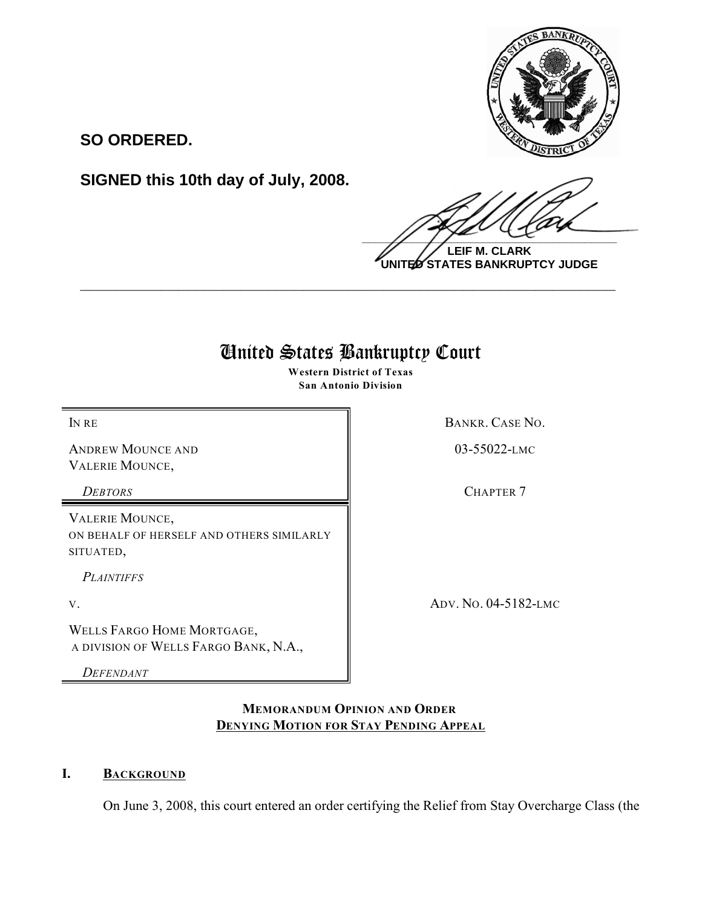

**SO ORDERED.**

**SIGNED this 10th day of July, 2008.**

 $\frac{1}{2}$ 

**LEIF M. CLARK UNITED STATES BANKRUPTCY JUDGE**

# United States Bankruptcy Court

**\_\_\_\_\_\_\_\_\_\_\_\_\_\_\_\_\_\_\_\_\_\_\_\_\_\_\_\_\_\_\_\_\_\_\_\_\_\_\_\_\_\_\_\_\_\_\_\_\_\_\_\_\_\_\_\_\_\_\_\_**

**Western District of Texas San Antonio Division**

ANDREW MOUNCE AND VALERIE MOUNCE,

VALERIE MOUNCE, ON BEHALF OF HERSELF AND OTHERS SIMILARLY SITUATED,

*PLAINTIFFS* 

WELLS FARGO HOME MORTGAGE, A DIVISION OF WELLS FARGO BANK, N.A.,

*DEFENDANT*

IN RE BANKR. CASE NO.

03-55022-LMC

*DEBTORS* CHAPTER 7

V. ADV. NO. 04-5182-LMC

**MEMORANDUM OPINION AND ORDER DENYING MOTION FOR STAY PENDING APPEAL**

## **I. BACKGROUND**

On June 3, 2008, this court entered an order certifying the Relief from Stay Overcharge Class (the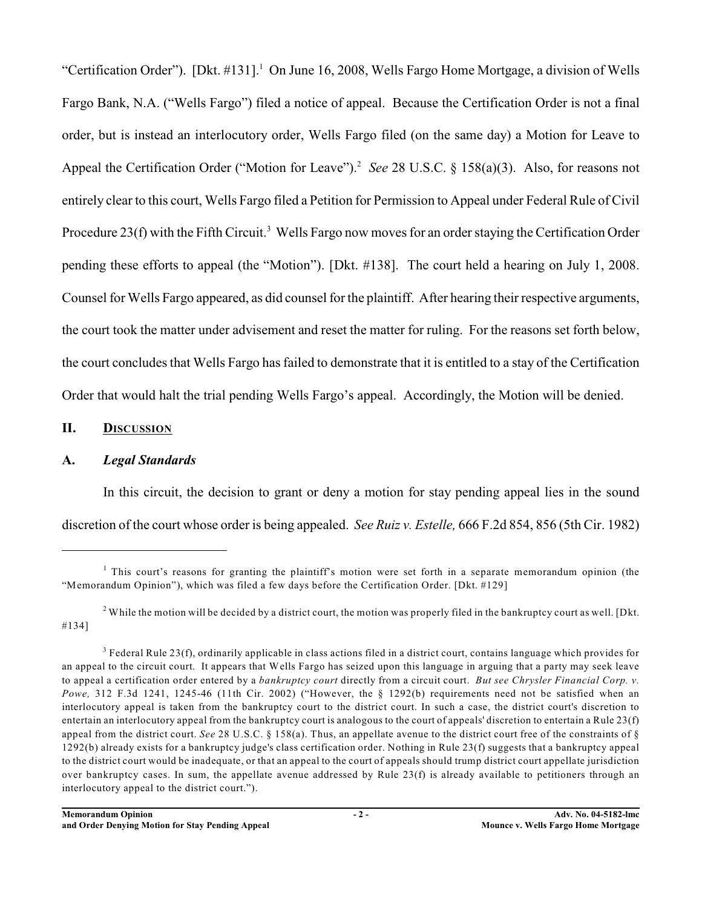"Certification Order"). [Dkt. #131].<sup>1</sup> On June 16, 2008, Wells Fargo Home Mortgage, a division of Wells Fargo Bank, N.A. ("Wells Fargo") filed a notice of appeal. Because the Certification Order is not a final order, but is instead an interlocutory order, Wells Fargo filed (on the same day) a Motion for Leave to Appeal the Certification Order ("Motion for Leave").<sup>2</sup> See 28 U.S.C. § 158(a)(3). Also, for reasons not entirely clear to this court, Wells Fargo filed a Petition for Permission to Appeal under Federal Rule of Civil Procedure 23(f) with the Fifth Circuit.<sup>3</sup> Wells Fargo now moves for an order staying the Certification Order pending these efforts to appeal (the "Motion"). [Dkt. #138]. The court held a hearing on July 1, 2008. Counsel for Wells Fargo appeared, as did counsel for the plaintiff. After hearing their respective arguments, the court took the matter under advisement and reset the matter for ruling. For the reasons set forth below, the court concludes that Wells Fargo has failed to demonstrate that it is entitled to a stay of the Certification Order that would halt the trial pending Wells Fargo's appeal. Accordingly, the Motion will be denied.

#### **II. DISCUSSION**

### **A.** *Legal Standards*

In this circuit, the decision to grant or deny a motion for stay pending appeal lies in the sound discretion of the court whose order is being appealed. *See Ruiz v. Estelle,* 666 F.2d 854, 856 (5th Cir. 1982)

<sup>2</sup> While the motion will be decided by a district court, the motion was properly filed in the bankruptcy court as well. [Dkt. #134]

<sup>&</sup>lt;sup>1</sup> This court's reasons for granting the plaintiff's motion were set forth in a separate memorandum opinion (the "Memorandum Opinion"), which was filed a few days before the Certification Order. [Dkt. #129]

 $3$  Federal Rule 23(f), ordinarily applicable in class actions filed in a district court, contains language which provides for an appeal to the circuit court. It appears that Wells Fargo has seized upon this language in arguing that a party may seek leave to appeal a certification order entered by a *bankruptcy court* directly from a circuit court. *But see Chrysler Financial Corp. v. Powe,* 312 F.3d 1241, 1245-46 (11th Cir. 2002) ("However, the § 1292(b) requirements need not be satisfied when an interlocutory appeal is taken from the bankruptcy court to the district court. In such a case, the district court's discretion to entertain an interlocutory appeal from the bankruptcy court is analogous to the court of appeals' discretion to entertain a Rule 23(f) appeal from the district court. *See* 28 U.S.C. § 158(a). Thus, an appellate avenue to the district court free of the constraints of § 1292(b) already exists for a bankruptcy judge's class certification order. Nothing in Rule 23(f) suggests that a bankruptcy appeal to the district court would be inadequate, or that an appeal to the court of appeals should trump district court appellate jurisdiction over bankruptcy cases. In sum, the appellate avenue addressed by Rule  $23(f)$  is already available to petitioners through an interlocutory appeal to the district court.").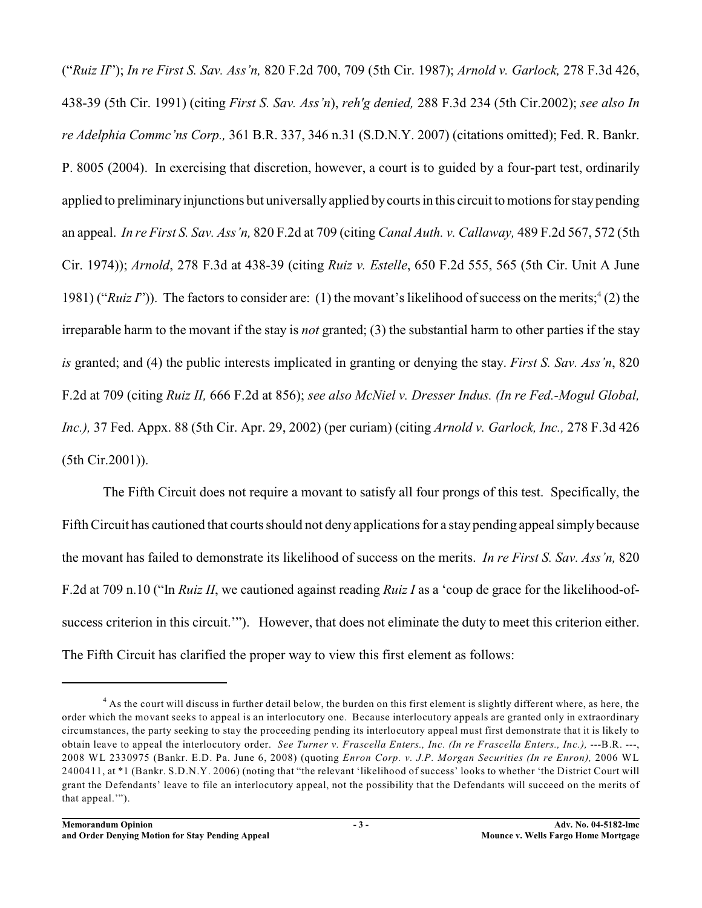("*Ruiz II*"); *In re First S. Sav. Ass'n,* 820 F.2d 700, 709 (5th Cir. 1987); *Arnold v. Garlock,* 278 F.3d 426, 438-39 (5th Cir. 1991) (citing *First S. Sav. Ass'n*), *reh'g denied,* 288 F.3d 234 (5th Cir.2002); *see also In re Adelphia Commc'ns Corp.,* 361 B.R. 337, 346 n.31 (S.D.N.Y. 2007) (citations omitted); Fed. R. Bankr. P. 8005 (2004). In exercising that discretion, however, a court is to guided by a four-part test, ordinarily applied to preliminary injunctions but universally applied by courts in this circuit to motions for stay pending an appeal. *In re First S. Sav. Ass'n,* 820 F.2d at 709 (citing *Canal Auth. v. Callaway,* 489 F.2d 567, 572 (5th Cir. 1974)); *Arnold*, 278 F.3d at 438-39 (citing *Ruiz v. Estelle*, 650 F.2d 555, 565 (5th Cir. Unit A June 1981) ("*Ruiz I*")). The factors to consider are: (1) the movant's likelihood of success on the merits;<sup>4</sup> (2) the irreparable harm to the movant if the stay is *not* granted; (3) the substantial harm to other parties if the stay *is* granted; and (4) the public interests implicated in granting or denying the stay. *First S. Sav. Ass'n*, 820 F.2d at 709 (citing *Ruiz II,* 666 F.2d at 856); *see also McNiel v. Dresser Indus. (In re Fed.-Mogul Global, Inc.),* 37 Fed. Appx. 88 (5th Cir. Apr. 29, 2002) (per curiam) (citing *Arnold v. Garlock, Inc.,* 278 F.3d 426 (5th Cir.2001)).

The Fifth Circuit does not require a movant to satisfy all four prongs of this test. Specifically, the Fifth Circuit has cautioned that courts should not deny applications for a stay pending appeal simply because the movant has failed to demonstrate its likelihood of success on the merits. *In re First S. Sav. Ass'n,* 820 F.2d at 709 n.10 ("In *Ruiz II*, we cautioned against reading *Ruiz I* as a 'coup de grace for the likelihood-ofsuccess criterion in this circuit.'"). However, that does not eliminate the duty to meet this criterion either. The Fifth Circuit has clarified the proper way to view this first element as follows:

<sup>&</sup>lt;sup>4</sup> As the court will discuss in further detail below, the burden on this first element is slightly different where, as here, the order which the movant seeks to appeal is an interlocutory one. Because interlocutory appeals are granted only in extraordinary circumstances, the party seeking to stay the proceeding pending its interlocutory appeal must first demonstrate that it is likely to obtain leave to appeal the interlocutory order. *See Turner v. Frascella Enters., Inc. (In re Frascella Enters., Inc.),* ---B.R. ---, 2008 WL 2330975 (Bankr. E.D. Pa. June 6, 2008) (quoting *Enron Corp. v. J.P. Morgan Securities (In re Enron),* 2006 WL 2400411, at \*1 (Bankr. S.D.N.Y. 2006) (noting that "the relevant 'likelihood of success' looks to whether 'the District Court will grant the Defendants' leave to file an interlocutory appeal, not the possibility that the Defendants will succeed on the merits of that appeal.'").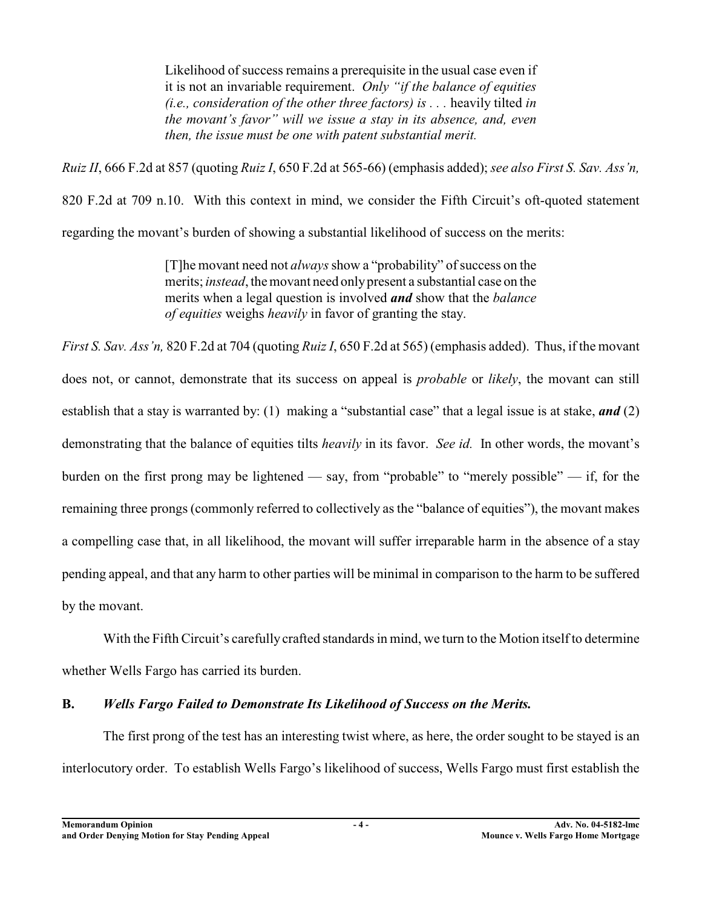Likelihood of success remains a prerequisite in the usual case even if it is not an invariable requirement. *Only "if the balance of equities (i.e., consideration of the other three factors) is . . .* heavily tilted *in the movant's favor" will we issue a stay in its absence, and, even then, the issue must be one with patent substantial merit.*

*Ruiz II*, 666 F.2d at 857 (quoting *Ruiz I*, 650 F.2d at 565-66) (emphasis added); *see also First S. Sav. Ass'n,* 820 F.2d at 709 n.10. With this context in mind, we consider the Fifth Circuit's oft-quoted statement regarding the movant's burden of showing a substantial likelihood of success on the merits:

> [T]he movant need not *always* show a "probability" of success on the merits; *instead*, the movant need onlypresent a substantial case on the merits when a legal question is involved *and* show that the *balance of equities* weighs *heavily* in favor of granting the stay.

*First S. Sav. Ass'n,* 820 F.2d at 704 (quoting *Ruiz I*, 650 F.2d at 565) (emphasis added). Thus, if the movant does not, or cannot, demonstrate that its success on appeal is *probable* or *likely*, the movant can still establish that a stay is warranted by: (1) making a "substantial case" that a legal issue is at stake, *and* (2) demonstrating that the balance of equities tilts *heavily* in its favor. *See id.* In other words, the movant's burden on the first prong may be lightened — say, from "probable" to "merely possible" — if, for the remaining three prongs (commonly referred to collectively as the "balance of equities"), the movant makes a compelling case that, in all likelihood, the movant will suffer irreparable harm in the absence of a stay pending appeal, and that any harm to other parties will be minimal in comparison to the harm to be suffered by the movant.

With the Fifth Circuit's carefully crafted standards in mind, we turn to the Motion itself to determine whether Wells Fargo has carried its burden.

# **B.** *Wells Fargo Failed to Demonstrate Its Likelihood of Success on the Merits.*

The first prong of the test has an interesting twist where, as here, the order sought to be stayed is an interlocutory order. To establish Wells Fargo's likelihood of success, Wells Fargo must first establish the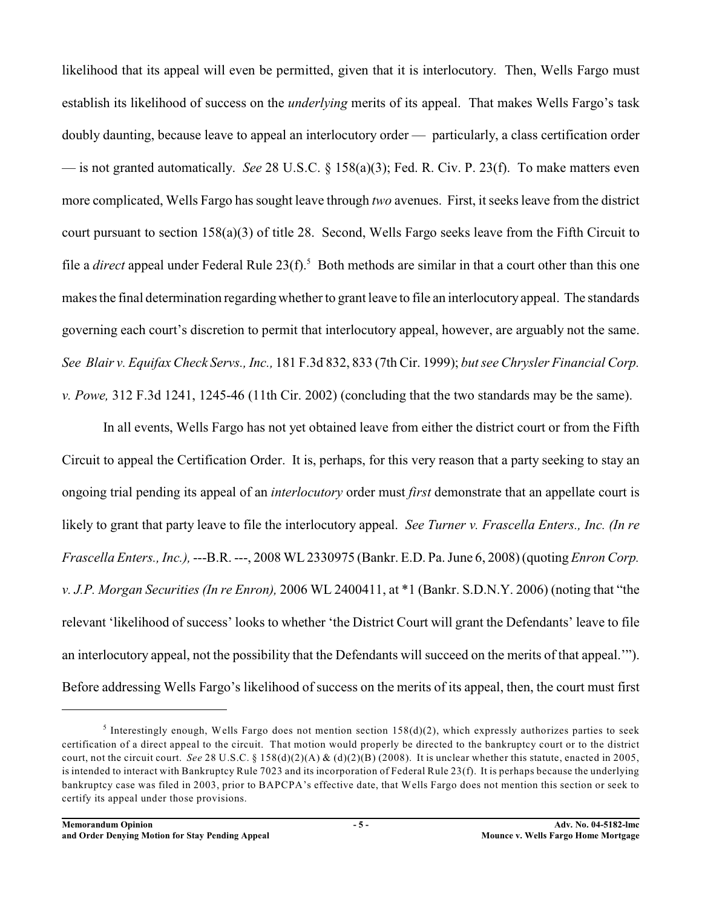likelihood that its appeal will even be permitted, given that it is interlocutory. Then, Wells Fargo must establish its likelihood of success on the *underlying* merits of its appeal. That makes Wells Fargo's task doubly daunting, because leave to appeal an interlocutory order — particularly, a class certification order — is not granted automatically. *See* 28 U.S.C. § 158(a)(3); Fed. R. Civ. P. 23(f). To make matters even more complicated, Wells Fargo has sought leave through *two* avenues. First, it seeks leave from the district court pursuant to section 158(a)(3) of title 28. Second, Wells Fargo seeks leave from the Fifth Circuit to file a *direct* appeal under Federal Rule  $23(f)$ .<sup>5</sup> Both methods are similar in that a court other than this one makes the final determination regarding whether to grant leave to file an interlocutory appeal. The standards governing each court's discretion to permit that interlocutory appeal, however, are arguably not the same. *See Blair v. Equifax Check Servs., Inc.,* 181 F.3d 832, 833 (7th Cir. 1999); *but see Chrysler Financial Corp. v. Powe,* 312 F.3d 1241, 1245-46 (11th Cir. 2002) (concluding that the two standards may be the same).

In all events, Wells Fargo has not yet obtained leave from either the district court or from the Fifth Circuit to appeal the Certification Order. It is, perhaps, for this very reason that a party seeking to stay an ongoing trial pending its appeal of an *interlocutory* order must *first* demonstrate that an appellate court is likely to grant that party leave to file the interlocutory appeal. *See Turner v. Frascella Enters., Inc. (In re Frascella Enters., Inc.),* ---B.R. ---, 2008 WL2330975 (Bankr. E.D. Pa.June 6, 2008) (quoting *Enron Corp. v. J.P. Morgan Securities (In re Enron),* 2006 WL 2400411, at \*1 (Bankr. S.D.N.Y. 2006) (noting that "the relevant 'likelihood of success' looks to whether 'the District Court will grant the Defendants' leave to file an interlocutory appeal, not the possibility that the Defendants will succeed on the merits of that appeal.'"). Before addressing Wells Fargo's likelihood of success on the merits of its appeal, then, the court must first

<sup>&</sup>lt;sup>5</sup> Interestingly enough, Wells Fargo does not mention section  $158(d)(2)$ , which expressly authorizes parties to seek certification of a direct appeal to the circuit. That motion would properly be directed to the bankruptcy court or to the district court, not the circuit court. *See* 28 U.S.C. § 158(d)(2)(A) & (d)(2)(B) (2008). It is unclear whether this statute, enacted in 2005, is intended to interact with Bankruptcy Rule 7023 and its incorporation of Federal Rule 23(f). It is perhaps because the underlying bankruptcy case was filed in 2003, prior to BAPCPA's effective date, that Wells Fargo does not mention this section or seek to certify its appeal under those provisions.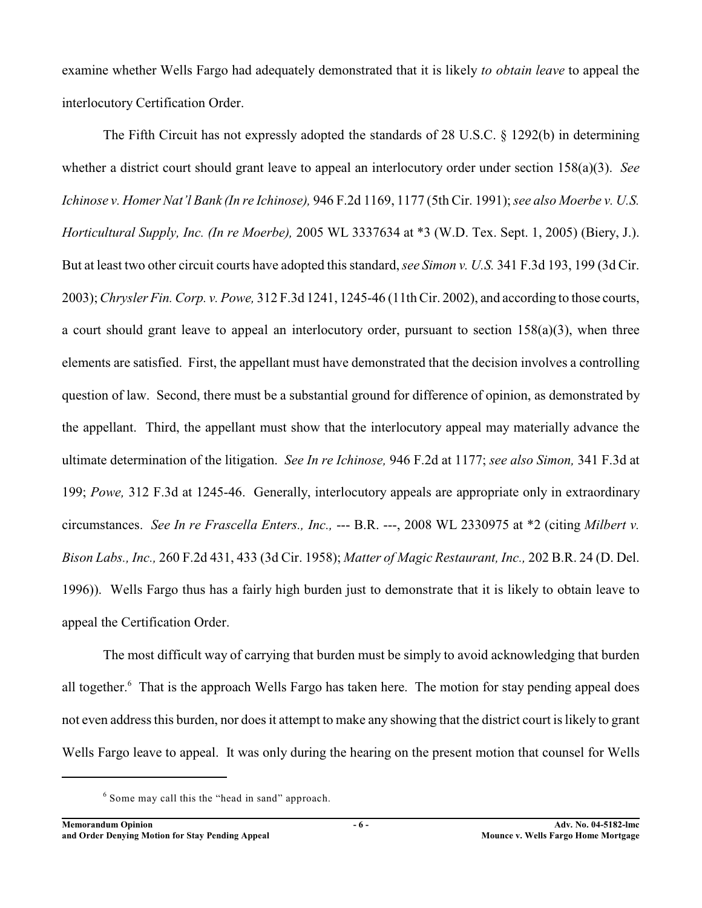examine whether Wells Fargo had adequately demonstrated that it is likely *to obtain leave* to appeal the interlocutory Certification Order.

The Fifth Circuit has not expressly adopted the standards of 28 U.S.C. § 1292(b) in determining whether a district court should grant leave to appeal an interlocutory order under section 158(a)(3). *See Ichinose v. Homer Nat'l Bank (In re Ichinose),* 946 F.2d 1169, 1177 (5th Cir. 1991); *see also Moerbe v. U.S. Horticultural Supply, Inc. (In re Moerbe),* 2005 WL 3337634 at \*3 (W.D. Tex. Sept. 1, 2005) (Biery, J.). But at least two other circuit courts have adopted this standard, *see Simon v. U.S.* 341 F.3d 193, 199 (3d Cir. 2003);*Chrysler Fin. Corp. v. Powe,* 312 F.3d 1241, 1245-46 (11th Cir. 2002), and according to those courts, a court should grant leave to appeal an interlocutory order, pursuant to section  $158(a)(3)$ , when three elements are satisfied. First, the appellant must have demonstrated that the decision involves a controlling question of law. Second, there must be a substantial ground for difference of opinion, as demonstrated by the appellant. Third, the appellant must show that the interlocutory appeal may materially advance the ultimate determination of the litigation. *See In re Ichinose,* 946 F.2d at 1177; *see also Simon,* 341 F.3d at 199; *Powe,* 312 F.3d at 1245-46. Generally, interlocutory appeals are appropriate only in extraordinary circumstances. *See In re Frascella Enters., Inc.,* --- B.R. ---, 2008 WL 2330975 at \*2 (citing *Milbert v. Bison Labs., Inc.,* 260 F.2d 431, 433 (3d Cir. 1958); *Matter of Magic Restaurant, Inc.,* 202 B.R. 24 (D. Del. 1996)). Wells Fargo thus has a fairly high burden just to demonstrate that it is likely to obtain leave to appeal the Certification Order.

The most difficult way of carrying that burden must be simply to avoid acknowledging that burden all together.<sup>6</sup> That is the approach Wells Fargo has taken here. The motion for stay pending appeal does not even address this burden, nor does it attempt to make any showing that the district court is likely to grant Wells Fargo leave to appeal. It was only during the hearing on the present motion that counsel for Wells

 $6$  Some may call this the "head in sand" approach.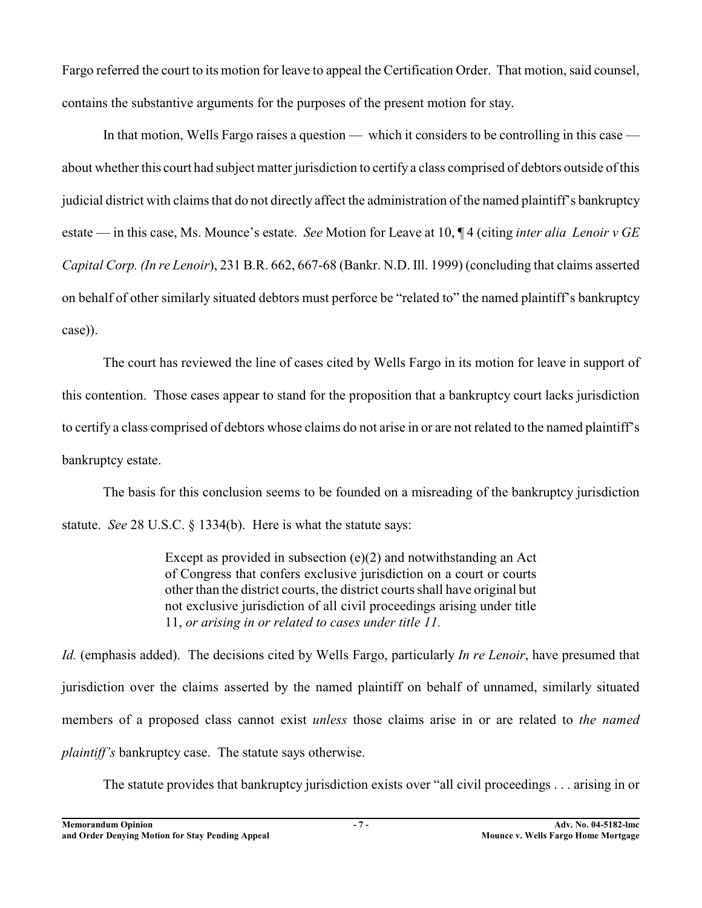Fargo referred the court to its motion for leave to appeal the Certification Order. That motion, said counsel, contains the substantive arguments for the purposes of the present motion for stay.

In that motion, Wells Fargo raises a question — which it considers to be controlling in this case about whether this court had subject matter jurisdiction to certify a class comprised of debtors outside of this judicial district with claims that do not directly affect the administration of the named plaintiff's bankruptcy estate — in this case, Ms. Mounce's estate. *See* Motion for Leave at 10, ¶ 4 (citing *inter alia Lenoir v GE Capital Corp. (In re Lenoir*), 231 B.R. 662, 667-68 (Bankr. N.D. Ill. 1999) (concluding that claims asserted on behalf of other similarly situated debtors must perforce be "related to" the named plaintiff's bankruptcy case)).

The court has reviewed the line of cases cited by Wells Fargo in its motion for leave in support of this contention. Those cases appear to stand for the proposition that a bankruptcy court lacks jurisdiction to certify a class comprised of debtors whose claims do not arise in or are not related to the named plaintiff's bankruptcy estate.

The basis for this conclusion seems to be founded on a misreading of the bankruptcy jurisdiction statute. *See* 28 U.S.C. § 1334(b). Here is what the statute says:

> Except as provided in subsection (e)(2) and notwithstanding an Act of Congress that confers exclusive jurisdiction on a court or courts other than the district courts, the district courts shall have original but not exclusive jurisdiction of all civil proceedings arising under title 11, *or arising in or related to cases under title 11.*

*Id.* (emphasis added). The decisions cited by Wells Fargo, particularly *In re Lenoir*, have presumed that jurisdiction over the claims asserted by the named plaintiff on behalf of unnamed, similarly situated members of a proposed class cannot exist *unless* those claims arise in or are related to *the named plaintiff's* bankruptcy case. The statute says otherwise.

The statute provides that bankruptcy jurisdiction exists over "all civil proceedings . . . arising in or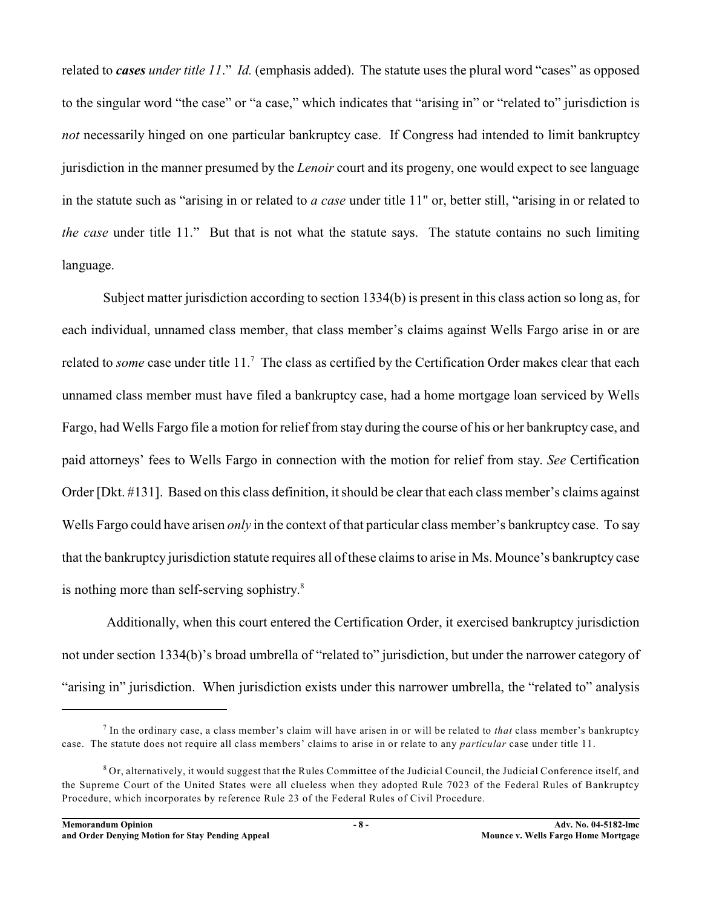related to *cases under title 11*." *Id.* (emphasis added). The statute uses the plural word "cases" as opposed to the singular word "the case" or "a case," which indicates that "arising in" or "related to" jurisdiction is *not* necessarily hinged on one particular bankruptcy case. If Congress had intended to limit bankruptcy jurisdiction in the manner presumed by the *Lenoir* court and its progeny, one would expect to see language in the statute such as "arising in or related to *a case* under title 11" or, better still, "arising in or related to *the case* under title 11." But that is not what the statute says. The statute contains no such limiting language.

Subject matter jurisdiction according to section 1334(b) is present in this class action so long as, for each individual, unnamed class member, that class member's claims against Wells Fargo arise in or are related to *some* case under title 11.<sup>7</sup> The class as certified by the Certification Order makes clear that each unnamed class member must have filed a bankruptcy case, had a home mortgage loan serviced by Wells Fargo, had Wells Fargo file a motion for relief from stay during the course of his or her bankruptcy case, and paid attorneys' fees to Wells Fargo in connection with the motion for relief from stay. *See* Certification Order [Dkt. #131]. Based on this class definition, it should be clear that each class member's claims against Wells Fargo could have arisen *only* in the context of that particular class member's bankruptcy case. To say that the bankruptcy jurisdiction statute requires all ofthese claimsto arise in Ms. Mounce's bankruptcy case is nothing more than self-serving sophistry.<sup>8</sup>

 Additionally, when this court entered the Certification Order, it exercised bankruptcy jurisdiction not under section 1334(b)'s broad umbrella of "related to" jurisdiction, but under the narrower category of "arising in" jurisdiction. When jurisdiction exists under this narrower umbrella, the "related to" analysis

<sup>&</sup>lt;sup>7</sup> In the ordinary case, a class member's claim will have arisen in or will be related to *that* class member's bankruptcy case. The statute does not require all class members' claims to arise in or relate to any *particular* case under title 11.

 $\delta$  Or, alternatively, it would suggest that the Rules Committee of the Judicial Council, the Judicial Conference itself, and the Supreme Court of the United States were all clueless when they adopted Rule 7023 of the Federal Rules of Bankruptcy Procedure, which incorporates by reference Rule 23 of the Federal Rules of Civil Procedure.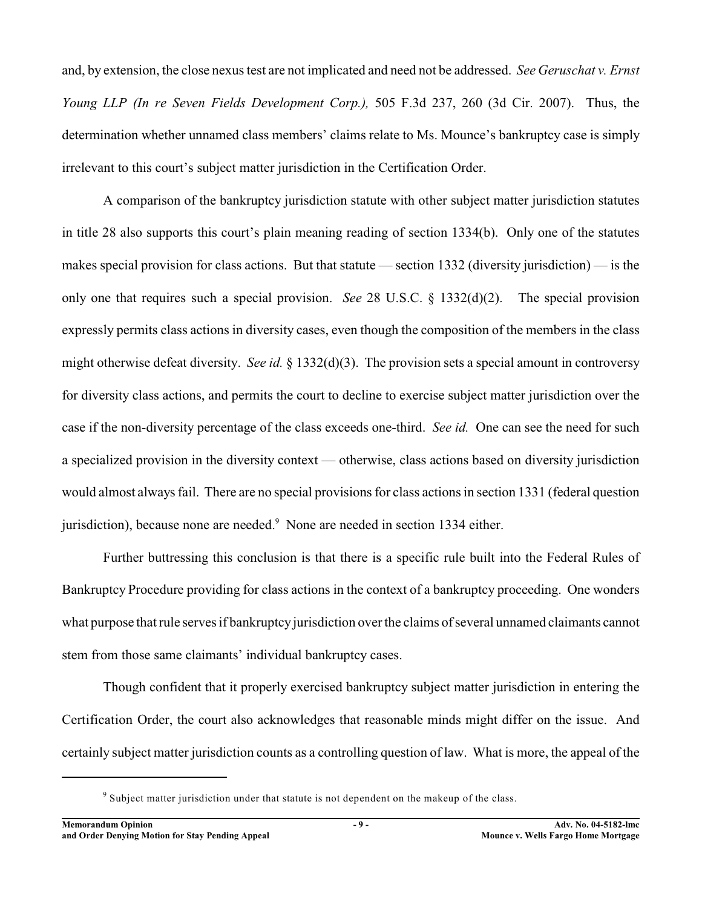and, by extension, the close nexus test are not implicated and need not be addressed. *See Geruschat v. Ernst Young LLP (In re Seven Fields Development Corp.),* 505 F.3d 237, 260 (3d Cir. 2007). Thus, the determination whether unnamed class members' claims relate to Ms. Mounce's bankruptcy case is simply irrelevant to this court's subject matter jurisdiction in the Certification Order.

A comparison of the bankruptcy jurisdiction statute with other subject matter jurisdiction statutes in title 28 also supports this court's plain meaning reading of section 1334(b). Only one of the statutes makes special provision for class actions. But that statute — section 1332 (diversity jurisdiction) — is the only one that requires such a special provision. *See* 28 U.S.C. § 1332(d)(2). The special provision expressly permits class actions in diversity cases, even though the composition of the members in the class might otherwise defeat diversity. *See id.* § 1332(d)(3). The provision sets a special amount in controversy for diversity class actions, and permits the court to decline to exercise subject matter jurisdiction over the case if the non-diversity percentage of the class exceeds one-third. *See id.* One can see the need for such a specialized provision in the diversity context — otherwise, class actions based on diversity jurisdiction would almost always fail. There are no special provisions for class actions in section 1331 (federal question jurisdiction), because none are needed.<sup>9</sup> None are needed in section 1334 either.

Further buttressing this conclusion is that there is a specific rule built into the Federal Rules of Bankruptcy Procedure providing for class actions in the context of a bankruptcy proceeding. One wonders what purpose that rule serves if bankruptcy jurisdiction over the claims of several unnamed claimants cannot stem from those same claimants' individual bankruptcy cases.

Though confident that it properly exercised bankruptcy subject matter jurisdiction in entering the Certification Order, the court also acknowledges that reasonable minds might differ on the issue. And certainly subject matter jurisdiction counts as a controlling question of law. What is more, the appeal of the

<sup>&</sup>lt;sup>9</sup> Subject matter jurisdiction under that statute is not dependent on the makeup of the class.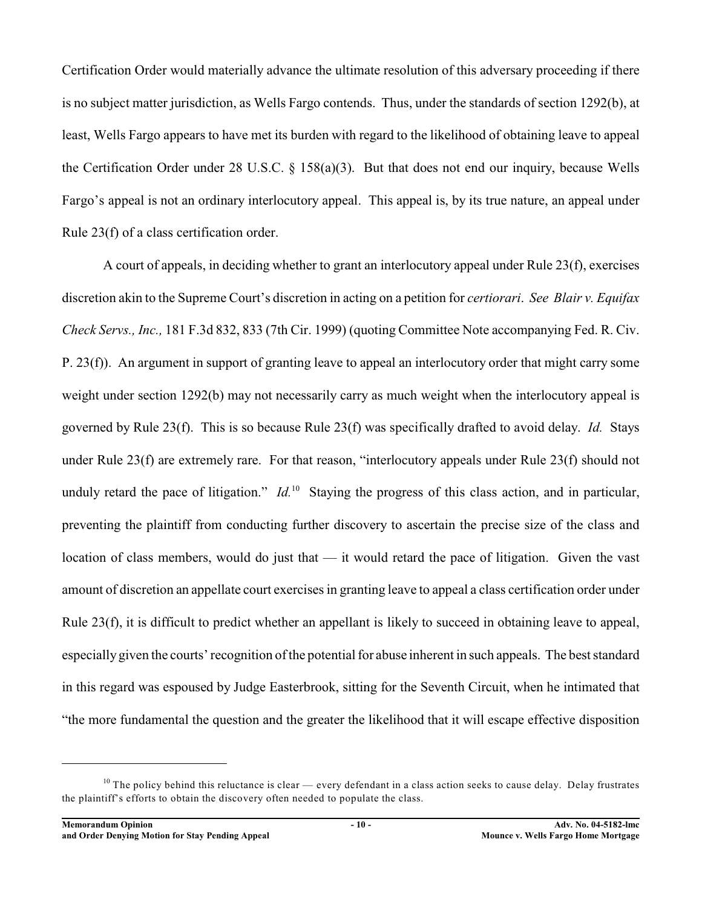Certification Order would materially advance the ultimate resolution of this adversary proceeding if there is no subject matter jurisdiction, as Wells Fargo contends. Thus, under the standards of section 1292(b), at least, Wells Fargo appears to have met its burden with regard to the likelihood of obtaining leave to appeal the Certification Order under 28 U.S.C. § 158(a)(3). But that does not end our inquiry, because Wells Fargo's appeal is not an ordinary interlocutory appeal. This appeal is, by its true nature, an appeal under Rule 23(f) of a class certification order.

A court of appeals, in deciding whether to grant an interlocutory appeal under Rule 23(f), exercises discretion akin to the Supreme Court's discretion in acting on a petition for *certiorari*. *See Blair v. Equifax Check Servs., Inc.,* 181 F.3d 832, 833 (7th Cir. 1999) (quoting Committee Note accompanying Fed. R. Civ. P. 23(f)). An argument in support of granting leave to appeal an interlocutory order that might carry some weight under section 1292(b) may not necessarily carry as much weight when the interlocutory appeal is governed by Rule 23(f). This is so because Rule 23(f) was specifically drafted to avoid delay. *Id.* Stays under Rule 23(f) are extremely rare. For that reason, "interlocutory appeals under Rule 23(f) should not unduly retard the pace of litigation."  $Id<sup>10</sup>$  Staying the progress of this class action, and in particular, preventing the plaintiff from conducting further discovery to ascertain the precise size of the class and location of class members, would do just that — it would retard the pace of litigation. Given the vast amount of discretion an appellate court exercises in granting leave to appeal a class certification order under Rule 23(f), it is difficult to predict whether an appellant is likely to succeed in obtaining leave to appeal, especially given the courts' recognition of the potential for abuse inherent in such appeals. The best standard in this regard was espoused by Judge Easterbrook, sitting for the Seventh Circuit, when he intimated that "the more fundamental the question and the greater the likelihood that it will escape effective disposition

 $10$  The policy behind this reluctance is clear — every defendant in a class action seeks to cause delay. Delay frustrates the plaintiff's efforts to obtain the discovery often needed to populate the class.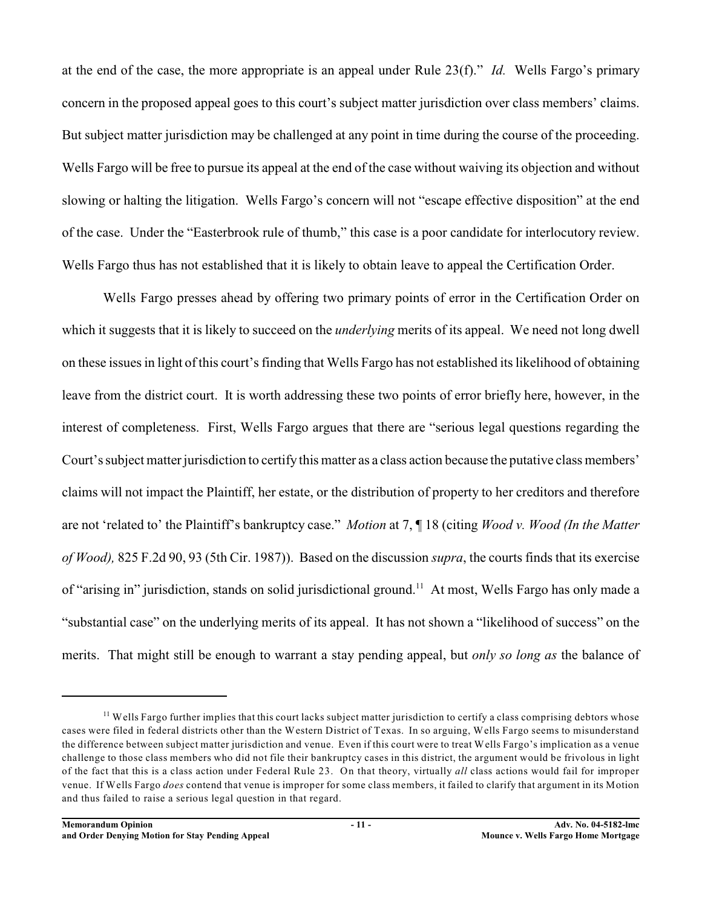at the end of the case, the more appropriate is an appeal under Rule 23(f)." *Id.* Wells Fargo's primary concern in the proposed appeal goes to this court's subject matter jurisdiction over class members' claims. But subject matter jurisdiction may be challenged at any point in time during the course of the proceeding. Wells Fargo will be free to pursue its appeal at the end of the case without waiving its objection and without slowing or halting the litigation. Wells Fargo's concern will not "escape effective disposition" at the end of the case. Under the "Easterbrook rule of thumb," this case is a poor candidate for interlocutory review. Wells Fargo thus has not established that it is likely to obtain leave to appeal the Certification Order.

Wells Fargo presses ahead by offering two primary points of error in the Certification Order on which it suggests that it is likely to succeed on the *underlying* merits of its appeal. We need not long dwell on these issues in light of this court's finding that Wells Fargo has not established its likelihood of obtaining leave from the district court. It is worth addressing these two points of error briefly here, however, in the interest of completeness. First, Wells Fargo argues that there are "serious legal questions regarding the Court's subject matter jurisdiction to certify this matter as a class action because the putative class members' claims will not impact the Plaintiff, her estate, or the distribution of property to her creditors and therefore are not 'related to' the Plaintiff's bankruptcy case." *Motion* at 7, ¶ 18 (citing *Wood v. Wood (In the Matter of Wood),* 825 F.2d 90, 93 (5th Cir. 1987)). Based on the discussion *supra*, the courts finds that its exercise of "arising in" jurisdiction, stands on solid jurisdictional ground.<sup>11</sup> At most, Wells Fargo has only made a "substantial case" on the underlying merits of its appeal. It has not shown a "likelihood of success" on the merits. That might still be enough to warrant a stay pending appeal, but *only so long as* the balance of

 $<sup>11</sup>$  Wells Fargo further implies that this court lacks subject matter jurisdiction to certify a class comprising debtors whose</sup> cases were filed in federal districts other than the Western District of Texas. In so arguing, Wells Fargo seems to misunderstand the difference between subject matter jurisdiction and venue. Even if this court were to treat Wells Fargo's implication as a venue challenge to those class members who did not file their bankruptcy cases in this district, the argument would be frivolous in light of the fact that this is a class action under Federal Rule 23. On that theory, virtually *all* class actions would fail for improper venue. If Wells Fargo *does* contend that venue is improper for some class members, it failed to clarify that argument in its Motion and thus failed to raise a serious legal question in that regard.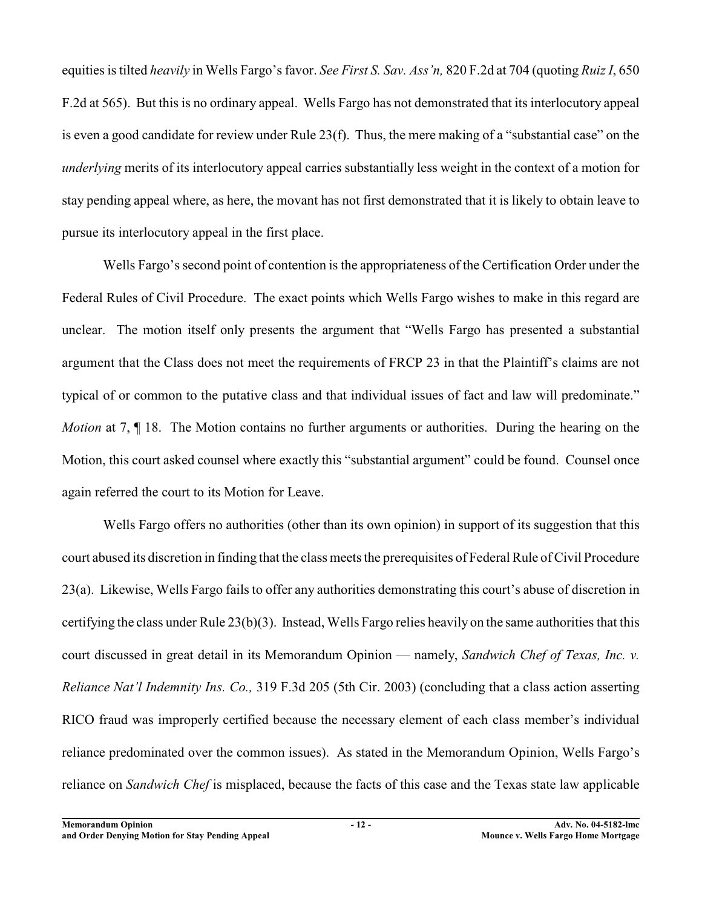equities is tilted *heavily* in Wells Fargo's favor. *See First S. Sav. Ass'n,* 820 F.2d at 704 (quoting *Ruiz I*, 650 F.2d at 565). But this is no ordinary appeal. Wells Fargo has not demonstrated that its interlocutory appeal is even a good candidate for review under Rule 23(f). Thus, the mere making of a "substantial case" on the *underlying* merits of its interlocutory appeal carries substantially less weight in the context of a motion for stay pending appeal where, as here, the movant has not first demonstrated that it is likely to obtain leave to pursue its interlocutory appeal in the first place.

Wells Fargo's second point of contention is the appropriateness of the Certification Order under the Federal Rules of Civil Procedure. The exact points which Wells Fargo wishes to make in this regard are unclear. The motion itself only presents the argument that "Wells Fargo has presented a substantial argument that the Class does not meet the requirements of FRCP 23 in that the Plaintiff's claims are not typical of or common to the putative class and that individual issues of fact and law will predominate." *Motion* at 7,  $\P$  18. The Motion contains no further arguments or authorities. During the hearing on the Motion, this court asked counsel where exactly this "substantial argument" could be found. Counsel once again referred the court to its Motion for Leave.

Wells Fargo offers no authorities (other than its own opinion) in support of its suggestion that this court abused its discretion in finding that the class meets the prerequisites of Federal Rule of Civil Procedure 23(a). Likewise, Wells Fargo fails to offer any authorities demonstrating this court's abuse of discretion in certifying the class under Rule 23(b)(3). Instead, Wells Fargo relies heavily on the same authorities that this court discussed in great detail in its Memorandum Opinion — namely, *Sandwich Chef of Texas, Inc. v. Reliance Nat'l Indemnity Ins. Co.,* 319 F.3d 205 (5th Cir. 2003) (concluding that a class action asserting RICO fraud was improperly certified because the necessary element of each class member's individual reliance predominated over the common issues). As stated in the Memorandum Opinion, Wells Fargo's reliance on *Sandwich Chef* is misplaced, because the facts of this case and the Texas state law applicable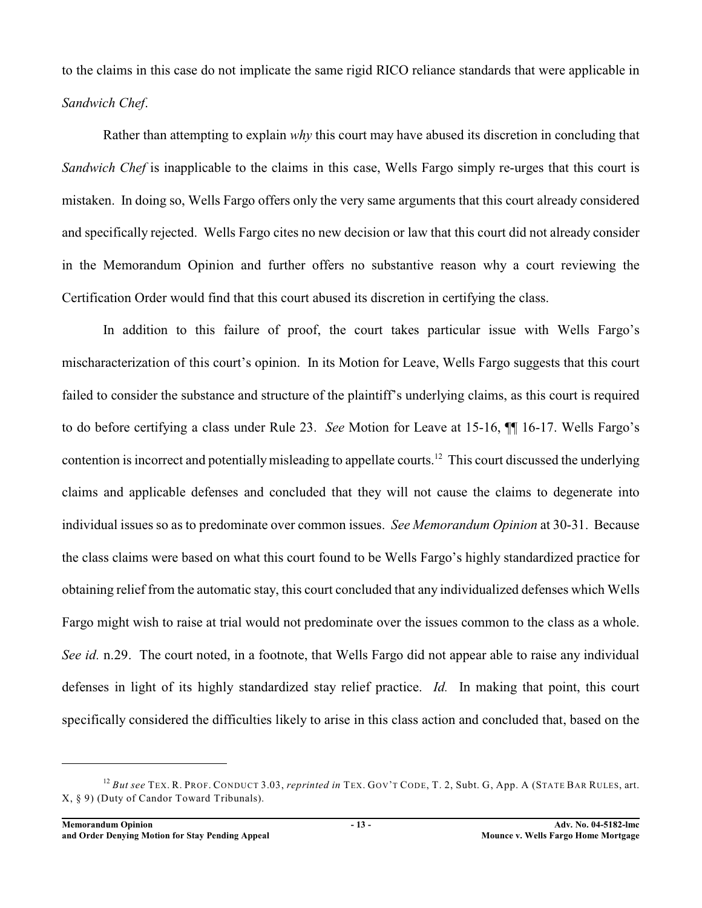to the claims in this case do not implicate the same rigid RICO reliance standards that were applicable in *Sandwich Chef*.

Rather than attempting to explain *why* this court may have abused its discretion in concluding that *Sandwich Chef* is inapplicable to the claims in this case, Wells Fargo simply re-urges that this court is mistaken. In doing so, Wells Fargo offers only the very same arguments that this court already considered and specifically rejected. Wells Fargo cites no new decision or law that this court did not already consider in the Memorandum Opinion and further offers no substantive reason why a court reviewing the Certification Order would find that this court abused its discretion in certifying the class.

In addition to this failure of proof, the court takes particular issue with Wells Fargo's mischaracterization of this court's opinion. In its Motion for Leave, Wells Fargo suggests that this court failed to consider the substance and structure of the plaintiff's underlying claims, as this court is required to do before certifying a class under Rule 23. *See* Motion for Leave at 15-16, ¶¶ 16-17. Wells Fargo's contention is incorrect and potentially misleading to appellate courts.<sup>12</sup> This court discussed the underlying claims and applicable defenses and concluded that they will not cause the claims to degenerate into individual issues so as to predominate over common issues. *See Memorandum Opinion* at 30-31. Because the class claims were based on what this court found to be Wells Fargo's highly standardized practice for obtaining relief from the automatic stay, this court concluded that any individualized defenses which Wells Fargo might wish to raise at trial would not predominate over the issues common to the class as a whole. *See id.* n.29. The court noted, in a footnote, that Wells Fargo did not appear able to raise any individual defenses in light of its highly standardized stay relief practice. *Id.* In making that point, this court specifically considered the difficulties likely to arise in this class action and concluded that, based on the

<sup>&</sup>lt;sup>12</sup> But see TEX. R. PROF. CONDUCT 3.03, *reprinted in* TEX. GOV'T CODE, T. 2, Subt. G, App. A (STATE BAR RULES, art. X, § 9) (Duty of Candor Toward Tribunals).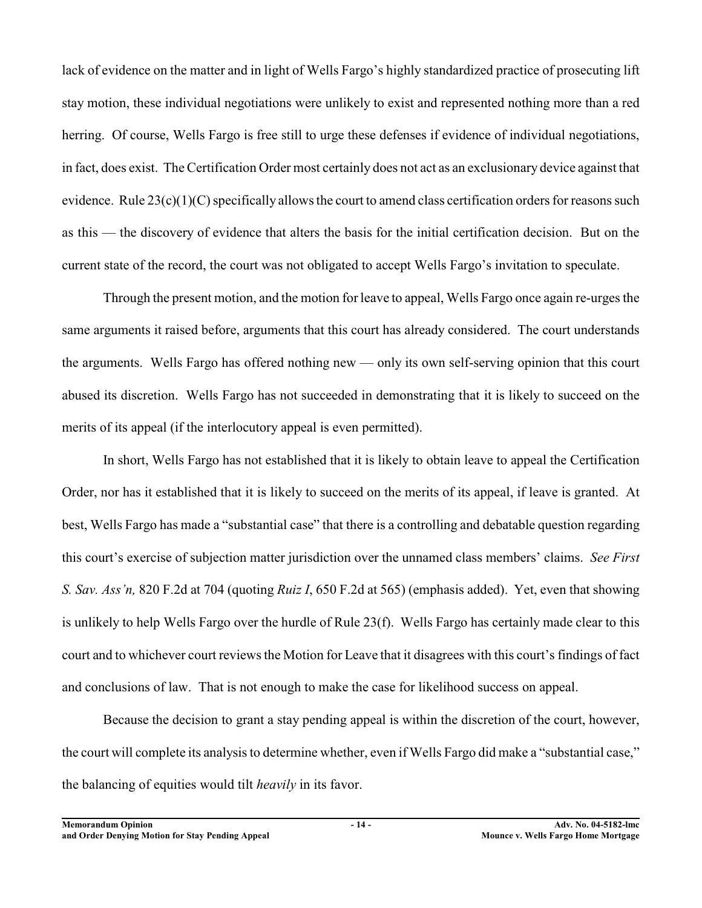lack of evidence on the matter and in light of Wells Fargo's highly standardized practice of prosecuting lift stay motion, these individual negotiations were unlikely to exist and represented nothing more than a red herring. Of course, Wells Fargo is free still to urge these defenses if evidence of individual negotiations, in fact, does exist. The Certification Order most certainly does not act as an exclusionary device against that evidence. Rule 23(c)(1)(C) specifically allows the court to amend class certification orders for reasons such as this — the discovery of evidence that alters the basis for the initial certification decision. But on the current state of the record, the court was not obligated to accept Wells Fargo's invitation to speculate.

Through the present motion, and the motion forleave to appeal, Wells Fargo once again re-urges the same arguments it raised before, arguments that this court has already considered. The court understands the arguments. Wells Fargo has offered nothing new — only its own self-serving opinion that this court abused its discretion. Wells Fargo has not succeeded in demonstrating that it is likely to succeed on the merits of its appeal (if the interlocutory appeal is even permitted).

In short, Wells Fargo has not established that it is likely to obtain leave to appeal the Certification Order, nor has it established that it is likely to succeed on the merits of its appeal, if leave is granted. At best, Wells Fargo has made a "substantial case" that there is a controlling and debatable question regarding this court's exercise of subjection matter jurisdiction over the unnamed class members' claims. *See First S. Sav. Ass'n,* 820 F.2d at 704 (quoting *Ruiz I*, 650 F.2d at 565) (emphasis added). Yet, even that showing is unlikely to help Wells Fargo over the hurdle of Rule 23(f). Wells Fargo has certainly made clear to this court and to whichever court reviews the Motion for Leave that it disagrees with this court's findings of fact and conclusions of law. That is not enough to make the case for likelihood success on appeal.

Because the decision to grant a stay pending appeal is within the discretion of the court, however, the court will complete its analysis to determine whether, even if Wells Fargo did make a "substantial case," the balancing of equities would tilt *heavily* in its favor.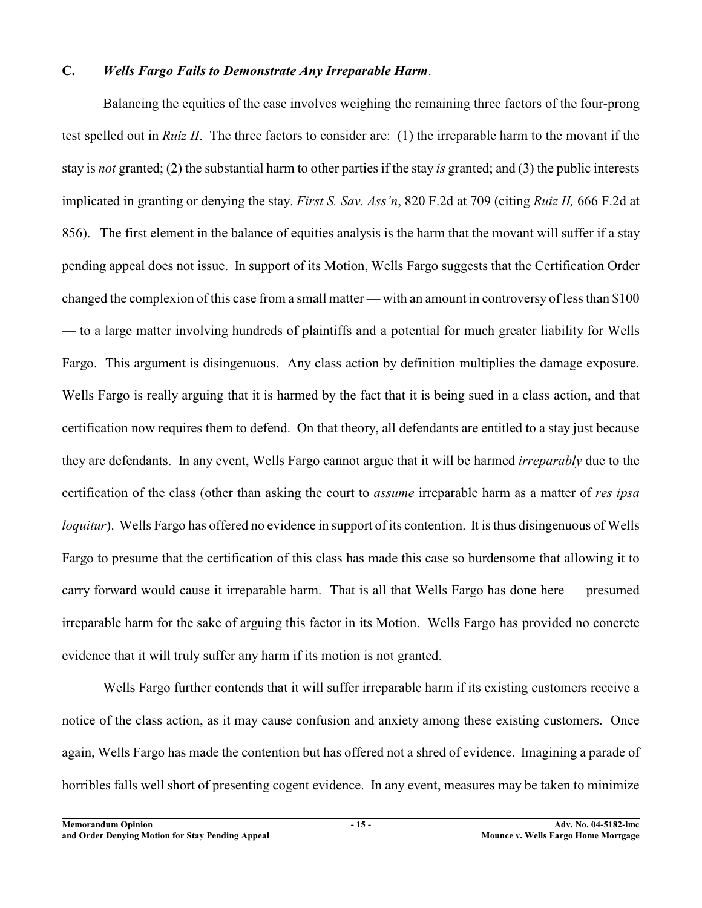## **C.** *Wells Fargo Fails to Demonstrate Any Irreparable Harm*.

Balancing the equities of the case involves weighing the remaining three factors of the four-prong test spelled out in *Ruiz II*. The three factors to consider are: (1) the irreparable harm to the movant if the stay is *not* granted; (2) the substantial harm to other parties if the stay *is* granted; and (3) the public interests implicated in granting or denying the stay. *First S. Sav. Ass'n*, 820 F.2d at 709 (citing *Ruiz II,* 666 F.2d at 856). The first element in the balance of equities analysis is the harm that the movant will suffer if a stay pending appeal does not issue. In support of its Motion, Wells Fargo suggests that the Certification Order changed the complexion of this case from a small matter — with an amount in controversy of less than \$100 — to a large matter involving hundreds of plaintiffs and a potential for much greater liability for Wells Fargo. This argument is disingenuous. Any class action by definition multiplies the damage exposure. Wells Fargo is really arguing that it is harmed by the fact that it is being sued in a class action, and that certification now requires them to defend. On that theory, all defendants are entitled to a stay just because they are defendants. In any event, Wells Fargo cannot argue that it will be harmed *irreparably* due to the certification of the class (other than asking the court to *assume* irreparable harm as a matter of *res ipsa loquitur*). Wells Fargo has offered no evidence in support of its contention. It is thus disingenuous of Wells Fargo to presume that the certification of this class has made this case so burdensome that allowing it to carry forward would cause it irreparable harm. That is all that Wells Fargo has done here — presumed irreparable harm for the sake of arguing this factor in its Motion. Wells Fargo has provided no concrete evidence that it will truly suffer any harm if its motion is not granted.

Wells Fargo further contends that it will suffer irreparable harm if its existing customers receive a notice of the class action, as it may cause confusion and anxiety among these existing customers. Once again, Wells Fargo has made the contention but has offered not a shred of evidence. Imagining a parade of horribles falls well short of presenting cogent evidence. In any event, measures may be taken to minimize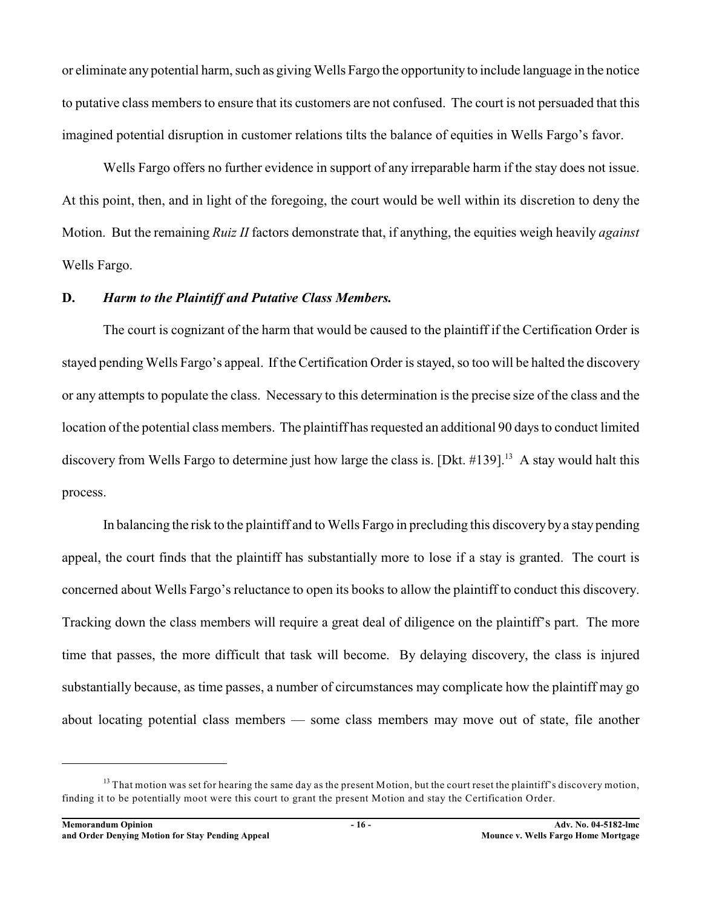or eliminate any potential harm, such as giving Wells Fargo the opportunity to include language in the notice to putative class members to ensure that its customers are not confused. The court is not persuaded that this imagined potential disruption in customer relations tilts the balance of equities in Wells Fargo's favor.

Wells Fargo offers no further evidence in support of any irreparable harm if the stay does not issue. At this point, then, and in light of the foregoing, the court would be well within its discretion to deny the Motion. But the remaining *Ruiz II* factors demonstrate that, if anything, the equities weigh heavily *against* Wells Fargo.

### **D.** *Harm to the Plaintiff and Putative Class Members.*

The court is cognizant of the harm that would be caused to the plaintiff if the Certification Order is stayed pending Wells Fargo's appeal. If the Certification Order is stayed, so too will be halted the discovery or any attempts to populate the class. Necessary to this determination is the precise size of the class and the location of the potential class members. The plaintiff has requested an additional 90 days to conduct limited discovery from Wells Fargo to determine just how large the class is. [Dkt.  $\#139$ ].<sup>13</sup> A stay would halt this process.

In balancing the risk to the plaintiff and to Wells Fargo in precluding this discovery by a stay pending appeal, the court finds that the plaintiff has substantially more to lose if a stay is granted. The court is concerned about Wells Fargo's reluctance to open its books to allow the plaintiff to conduct this discovery. Tracking down the class members will require a great deal of diligence on the plaintiff's part. The more time that passes, the more difficult that task will become. By delaying discovery, the class is injured substantially because, as time passes, a number of circumstances may complicate how the plaintiff may go about locating potential class members — some class members may move out of state, file another

 $13$  That motion was set for hearing the same day as the present Motion, but the court reset the plaintiff's discovery motion, finding it to be potentially moot were this court to grant the present Motion and stay the Certification Order.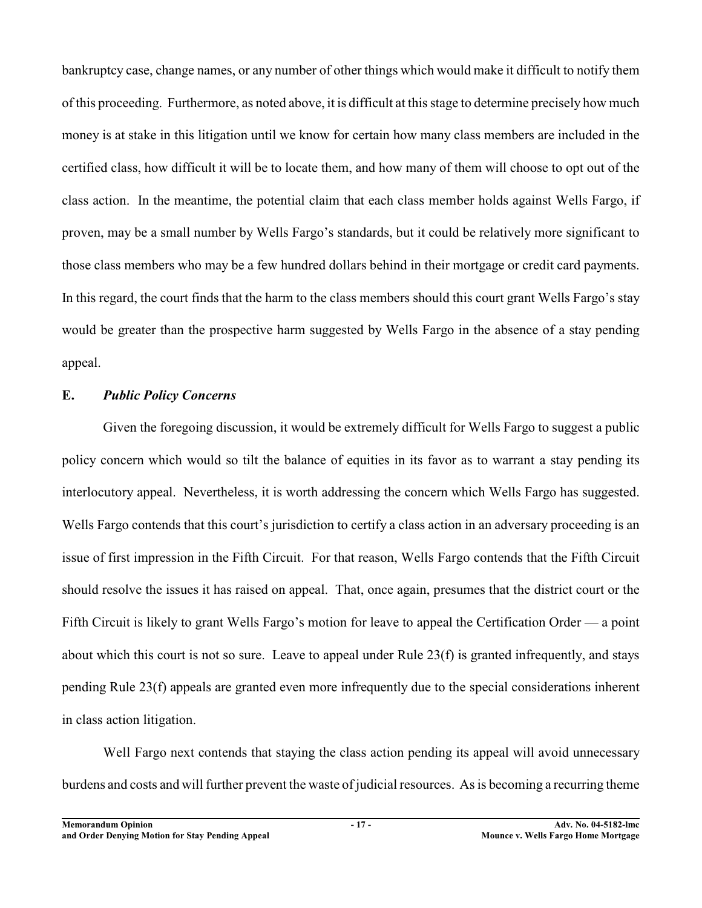bankruptcy case, change names, or any number of other things which would make it difficult to notify them of this proceeding. Furthermore, as noted above, it is difficult at this stage to determine precisely how much money is at stake in this litigation until we know for certain how many class members are included in the certified class, how difficult it will be to locate them, and how many of them will choose to opt out of the class action. In the meantime, the potential claim that each class member holds against Wells Fargo, if proven, may be a small number by Wells Fargo's standards, but it could be relatively more significant to those class members who may be a few hundred dollars behind in their mortgage or credit card payments. In this regard, the court finds that the harm to the class members should this court grant Wells Fargo's stay would be greater than the prospective harm suggested by Wells Fargo in the absence of a stay pending appeal.

### **E.** *Public Policy Concerns*

Given the foregoing discussion, it would be extremely difficult for Wells Fargo to suggest a public policy concern which would so tilt the balance of equities in its favor as to warrant a stay pending its interlocutory appeal. Nevertheless, it is worth addressing the concern which Wells Fargo has suggested. Wells Fargo contends that this court's jurisdiction to certify a class action in an adversary proceeding is an issue of first impression in the Fifth Circuit. For that reason, Wells Fargo contends that the Fifth Circuit should resolve the issues it has raised on appeal. That, once again, presumes that the district court or the Fifth Circuit is likely to grant Wells Fargo's motion for leave to appeal the Certification Order — a point about which this court is not so sure. Leave to appeal under Rule 23(f) is granted infrequently, and stays pending Rule 23(f) appeals are granted even more infrequently due to the special considerations inherent in class action litigation.

Well Fargo next contends that staying the class action pending its appeal will avoid unnecessary burdens and costs and will further prevent the waste of judicial resources. As is becoming a recurring theme